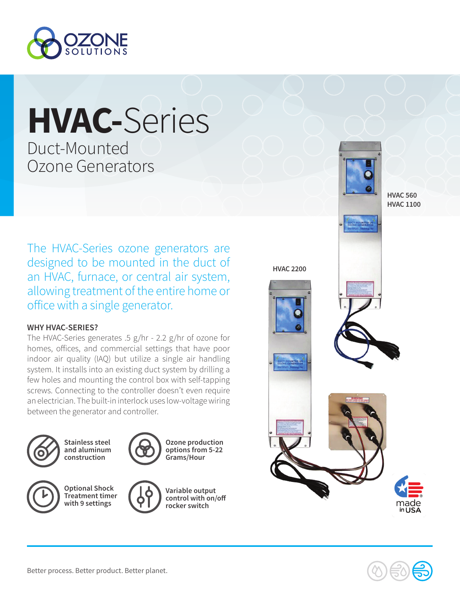

# **HVAC-**Series

Duct-Mounted Ozone Generators

The HVAC-Series ozone generators are designed to be mounted in the duct of an HVAC, furnace, or central air system, allowing treatment of the entire home or office with a single generator.

#### **WHY HVAC-SERIES?**

The HVAC-Series generates .5 g/hr - 2.2 g/hr of ozone for homes, offices, and commercial settings that have poor indoor air quality (IAQ) but utilize a single air handling system. It installs into an existing duct system by drilling a few holes and mounting the control box with self-tapping screws. Connecting to the controller doesn't even require an electrician. The built-in interlock uses low-voltage wiring between the generator and controller.



**Stainless steel and aluminum construction**



**Ozone production options from 5-22 Grams/Hour**







**Variable output control with on/off rocker switch**